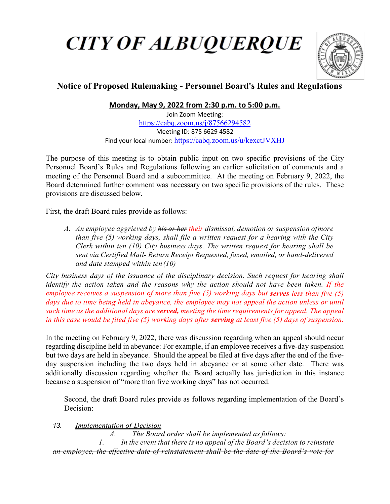## **CITY OF ALBUQUERQUE**



## **Notice of Proposed Rulemaking - Personnel Board's Rules and Regulations**

**Monday, May 9, 2022 from 2:30 p.m. to 5:00 p.m.**

Join Zoom Meeting: <https://cabq.zoom.us/j/87566294582> Meeting ID: 875 6629 4582 Find your local number: <https://cabq.zoom.us/u/kexctJVXHJ>

The purpose of this meeting is to obtain public input on two specific provisions of the City Personnel Board's Rules and Regulations following an earlier solicitation of comments and a meeting of the Personnel Board and a subcommittee. At the meeting on February 9, 2022, the Board determined further comment was necessary on two specific provisions of the rules. These provisions are discussed below.

First, the draft Board rules provide as follows:

*A. An employee aggrieved by his or her their dismissal, demotion or suspension ofmore than five (5) working days, shall file a written request for a hearing with the City Clerk within ten (10) City business days. The written request for hearing shall be*  sent via Certified Mail- Return Receipt Requested, faxed, emailed, or hand-delivered *and date stamped within ten(10)*

*City business days of the issuance of the disciplinary decision. Such request for hearing shall identify the action taken and the reasons why the action should not have been taken. If the employee receives a suspension of more than five (5) working days but serves less than five (5) days due to time being held in abeyance, the employee may not appeal the action unless or until such time as the additional days are served, meeting the time requirements for appeal. The appeal in this case would be filed five (5) working days after serving at least five (5) days of suspension.*

In the meeting on February 9, 2022, there was discussion regarding when an appeal should occur regarding discipline held in abeyance: For example, if an employee receives a five-day suspension but two days are held in abeyance. Should the appeal be filed at five days after the end of the fiveday suspension including the two days held in abeyance or at some other date. There was additionally discussion regarding whether the Board actually has jurisdiction in this instance because a suspension of "more than five working days" has not occurred.

Second, the draft Board rules provide as follows regarding implementation of the Board's Decision:

*13. Implementation of Decision*

*A. The Board order shall be implemented as follows: 1. In the event that there is no appeal of the Board's decision to reinstate an employee, the effective date of reinstatement shall be the date of the Board's vote for*